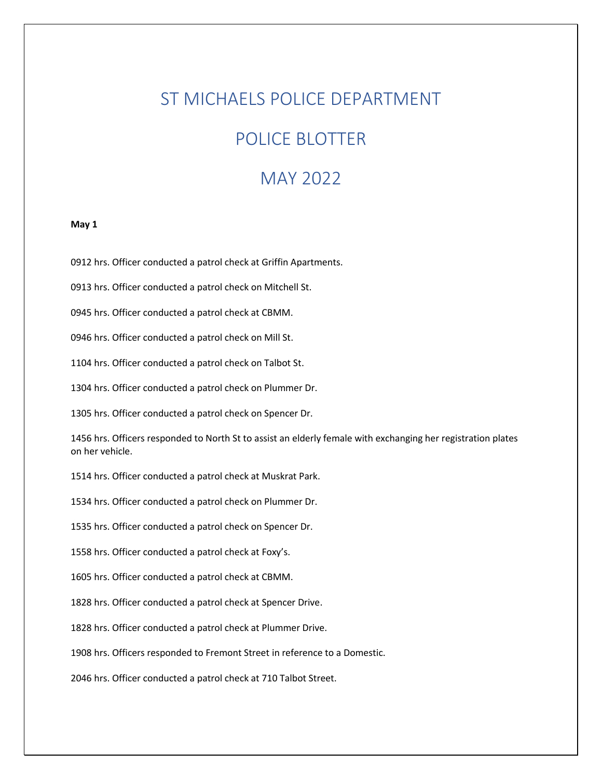# ST MICHAELS POLICE DEPARTMENT

# POLICE BLOTTER

# MAY 2022

# **May 1**

0912 hrs. Officer conducted a patrol check at Griffin Apartments.

0913 hrs. Officer conducted a patrol check on Mitchell St.

0945 hrs. Officer conducted a patrol check at CBMM.

0946 hrs. Officer conducted a patrol check on Mill St.

1104 hrs. Officer conducted a patrol check on Talbot St.

1304 hrs. Officer conducted a patrol check on Plummer Dr.

1305 hrs. Officer conducted a patrol check on Spencer Dr.

1456 hrs. Officers responded to North St to assist an elderly female with exchanging her registration plates on her vehicle.

1514 hrs. Officer conducted a patrol check at Muskrat Park.

1534 hrs. Officer conducted a patrol check on Plummer Dr.

1535 hrs. Officer conducted a patrol check on Spencer Dr.

1558 hrs. Officer conducted a patrol check at Foxy's.

1605 hrs. Officer conducted a patrol check at CBMM.

1828 hrs. Officer conducted a patrol check at Spencer Drive.

1828 hrs. Officer conducted a patrol check at Plummer Drive.

1908 hrs. Officers responded to Fremont Street in reference to a Domestic.

2046 hrs. Officer conducted a patrol check at 710 Talbot Street.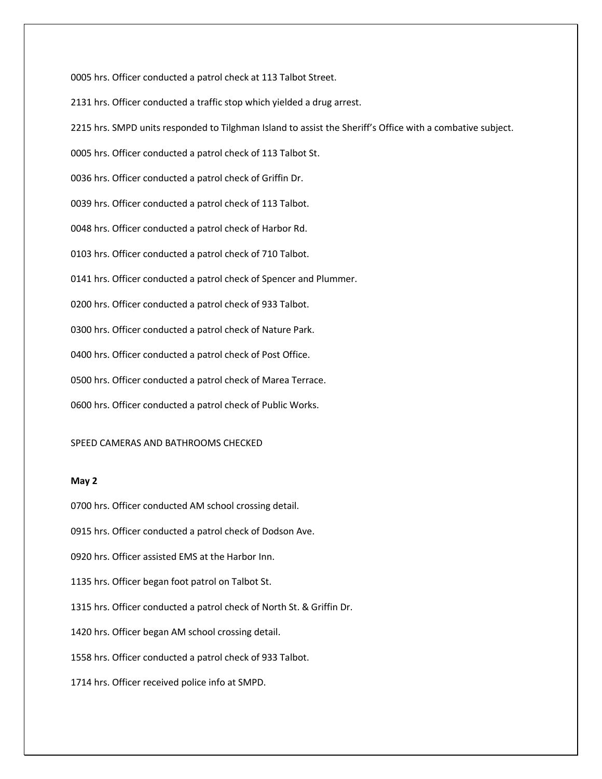0005 hrs. Officer conducted a patrol check at 113 Talbot Street.

2131 hrs. Officer conducted a traffic stop which yielded a drug arrest.

2215 hrs. SMPD units responded to Tilghman Island to assist the Sheriff's Office with a combative subject.

0005 hrs. Officer conducted a patrol check of 113 Talbot St.

0036 hrs. Officer conducted a patrol check of Griffin Dr.

0039 hrs. Officer conducted a patrol check of 113 Talbot.

0048 hrs. Officer conducted a patrol check of Harbor Rd.

0103 hrs. Officer conducted a patrol check of 710 Talbot.

0141 hrs. Officer conducted a patrol check of Spencer and Plummer.

0200 hrs. Officer conducted a patrol check of 933 Talbot.

0300 hrs. Officer conducted a patrol check of Nature Park.

0400 hrs. Officer conducted a patrol check of Post Office.

0500 hrs. Officer conducted a patrol check of Marea Terrace.

0600 hrs. Officer conducted a patrol check of Public Works.

# SPEED CAMERAS AND BATHROOMS CHECKED

# **May 2**

0700 hrs. Officer conducted AM school crossing detail.

0915 hrs. Officer conducted a patrol check of Dodson Ave.

0920 hrs. Officer assisted EMS at the Harbor Inn.

1135 hrs. Officer began foot patrol on Talbot St.

1315 hrs. Officer conducted a patrol check of North St. & Griffin Dr.

1420 hrs. Officer began AM school crossing detail.

1558 hrs. Officer conducted a patrol check of 933 Talbot.

1714 hrs. Officer received police info at SMPD.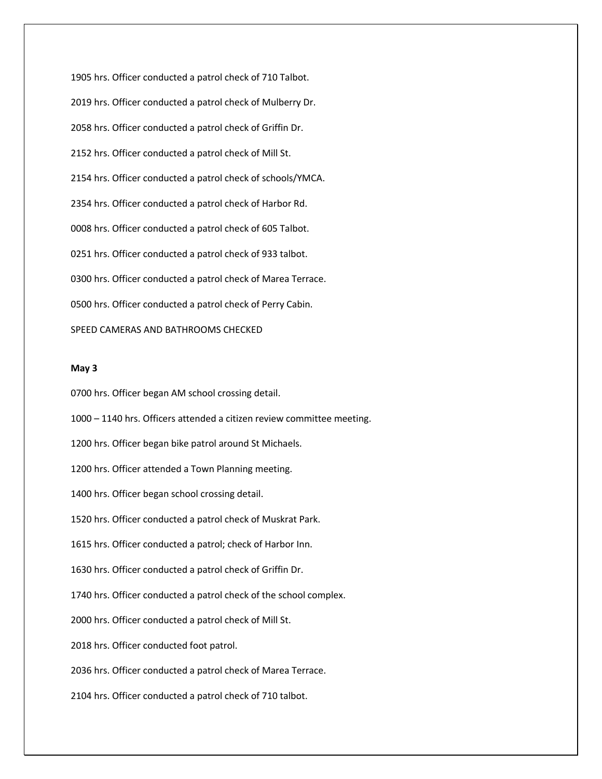1905 hrs. Officer conducted a patrol check of 710 Talbot. 2019 hrs. Officer conducted a patrol check of Mulberry Dr. 2058 hrs. Officer conducted a patrol check of Griffin Dr. 2152 hrs. Officer conducted a patrol check of Mill St. 2154 hrs. Officer conducted a patrol check of schools/YMCA. 2354 hrs. Officer conducted a patrol check of Harbor Rd. 0008 hrs. Officer conducted a patrol check of 605 Talbot. 0251 hrs. Officer conducted a patrol check of 933 talbot. 0300 hrs. Officer conducted a patrol check of Marea Terrace. 0500 hrs. Officer conducted a patrol check of Perry Cabin. SPEED CAMERAS AND BATHROOMS CHECKED

## **May 3**

0700 hrs. Officer began AM school crossing detail.

1000 – 1140 hrs. Officers attended a citizen review committee meeting.

1200 hrs. Officer began bike patrol around St Michaels.

1200 hrs. Officer attended a Town Planning meeting.

1400 hrs. Officer began school crossing detail.

1520 hrs. Officer conducted a patrol check of Muskrat Park.

1615 hrs. Officer conducted a patrol; check of Harbor Inn.

1630 hrs. Officer conducted a patrol check of Griffin Dr.

1740 hrs. Officer conducted a patrol check of the school complex.

2000 hrs. Officer conducted a patrol check of Mill St.

2018 hrs. Officer conducted foot patrol.

2036 hrs. Officer conducted a patrol check of Marea Terrace.

2104 hrs. Officer conducted a patrol check of 710 talbot.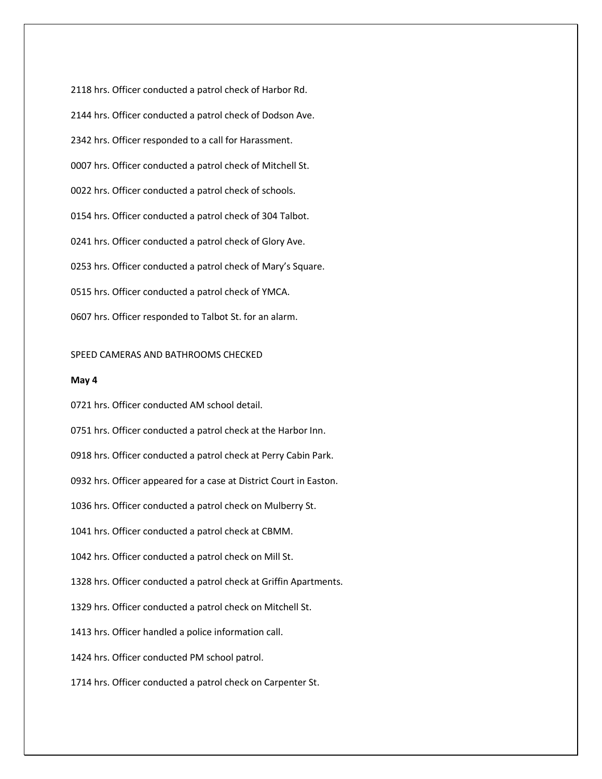2118 hrs. Officer conducted a patrol check of Harbor Rd. 2144 hrs. Officer conducted a patrol check of Dodson Ave. 2342 hrs. Officer responded to a call for Harassment. 0007 hrs. Officer conducted a patrol check of Mitchell St. 0022 hrs. Officer conducted a patrol check of schools. 0154 hrs. Officer conducted a patrol check of 304 Talbot. 0241 hrs. Officer conducted a patrol check of Glory Ave. 0253 hrs. Officer conducted a patrol check of Mary's Square. 0515 hrs. Officer conducted a patrol check of YMCA. 0607 hrs. Officer responded to Talbot St. for an alarm.

## SPEED CAMERAS AND BATHROOMS CHECKED

### **May 4**

0721 hrs. Officer conducted AM school detail.

0751 hrs. Officer conducted a patrol check at the Harbor Inn.

0918 hrs. Officer conducted a patrol check at Perry Cabin Park.

0932 hrs. Officer appeared for a case at District Court in Easton.

1036 hrs. Officer conducted a patrol check on Mulberry St.

1041 hrs. Officer conducted a patrol check at CBMM.

1042 hrs. Officer conducted a patrol check on Mill St.

1328 hrs. Officer conducted a patrol check at Griffin Apartments.

1329 hrs. Officer conducted a patrol check on Mitchell St.

1413 hrs. Officer handled a police information call.

1424 hrs. Officer conducted PM school patrol.

1714 hrs. Officer conducted a patrol check on Carpenter St.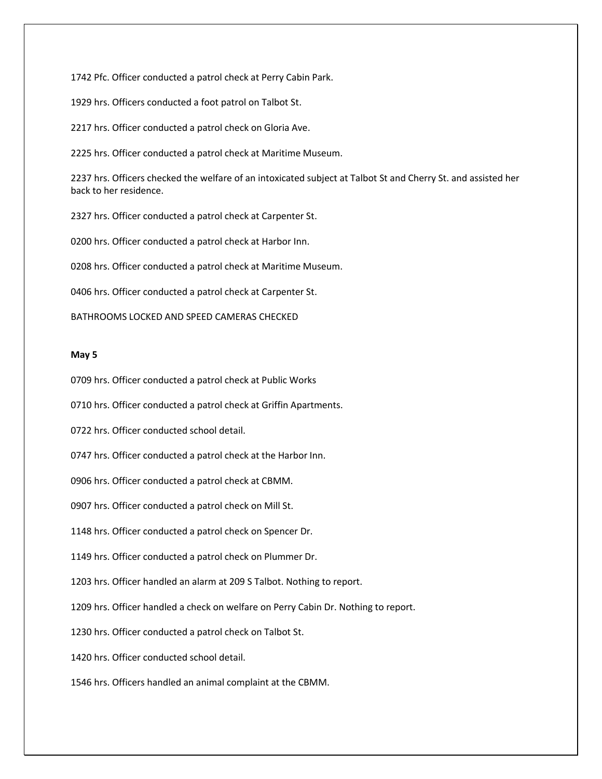1742 Pfc. Officer conducted a patrol check at Perry Cabin Park.

1929 hrs. Officers conducted a foot patrol on Talbot St.

2217 hrs. Officer conducted a patrol check on Gloria Ave.

2225 hrs. Officer conducted a patrol check at Maritime Museum.

2237 hrs. Officers checked the welfare of an intoxicated subject at Talbot St and Cherry St. and assisted her back to her residence.

2327 hrs. Officer conducted a patrol check at Carpenter St.

0200 hrs. Officer conducted a patrol check at Harbor Inn.

0208 hrs. Officer conducted a patrol check at Maritime Museum.

0406 hrs. Officer conducted a patrol check at Carpenter St.

# BATHROOMS LOCKED AND SPEED CAMERAS CHECKED

# **May 5**

0709 hrs. Officer conducted a patrol check at Public Works

0710 hrs. Officer conducted a patrol check at Griffin Apartments.

0722 hrs. Officer conducted school detail.

0747 hrs. Officer conducted a patrol check at the Harbor Inn.

0906 hrs. Officer conducted a patrol check at CBMM.

0907 hrs. Officer conducted a patrol check on Mill St.

1148 hrs. Officer conducted a patrol check on Spencer Dr.

1149 hrs. Officer conducted a patrol check on Plummer Dr.

1203 hrs. Officer handled an alarm at 209 S Talbot. Nothing to report.

1209 hrs. Officer handled a check on welfare on Perry Cabin Dr. Nothing to report.

1230 hrs. Officer conducted a patrol check on Talbot St.

1420 hrs. Officer conducted school detail.

1546 hrs. Officers handled an animal complaint at the CBMM.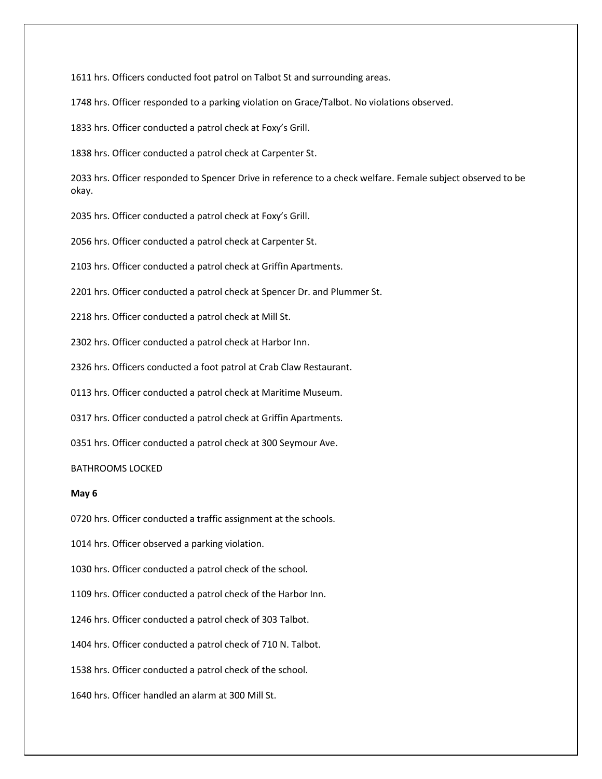1611 hrs. Officers conducted foot patrol on Talbot St and surrounding areas.

1748 hrs. Officer responded to a parking violation on Grace/Talbot. No violations observed.

1833 hrs. Officer conducted a patrol check at Foxy's Grill.

1838 hrs. Officer conducted a patrol check at Carpenter St.

2033 hrs. Officer responded to Spencer Drive in reference to a check welfare. Female subject observed to be okay.

2035 hrs. Officer conducted a patrol check at Foxy's Grill.

2056 hrs. Officer conducted a patrol check at Carpenter St.

2103 hrs. Officer conducted a patrol check at Griffin Apartments.

2201 hrs. Officer conducted a patrol check at Spencer Dr. and Plummer St.

2218 hrs. Officer conducted a patrol check at Mill St.

2302 hrs. Officer conducted a patrol check at Harbor Inn.

2326 hrs. Officers conducted a foot patrol at Crab Claw Restaurant.

0113 hrs. Officer conducted a patrol check at Maritime Museum.

0317 hrs. Officer conducted a patrol check at Griffin Apartments.

0351 hrs. Officer conducted a patrol check at 300 Seymour Ave.

# BATHROOMS LOCKED

# **May 6**

0720 hrs. Officer conducted a traffic assignment at the schools.

1014 hrs. Officer observed a parking violation.

1030 hrs. Officer conducted a patrol check of the school.

1109 hrs. Officer conducted a patrol check of the Harbor Inn.

1246 hrs. Officer conducted a patrol check of 303 Talbot.

1404 hrs. Officer conducted a patrol check of 710 N. Talbot.

1538 hrs. Officer conducted a patrol check of the school.

1640 hrs. Officer handled an alarm at 300 Mill St.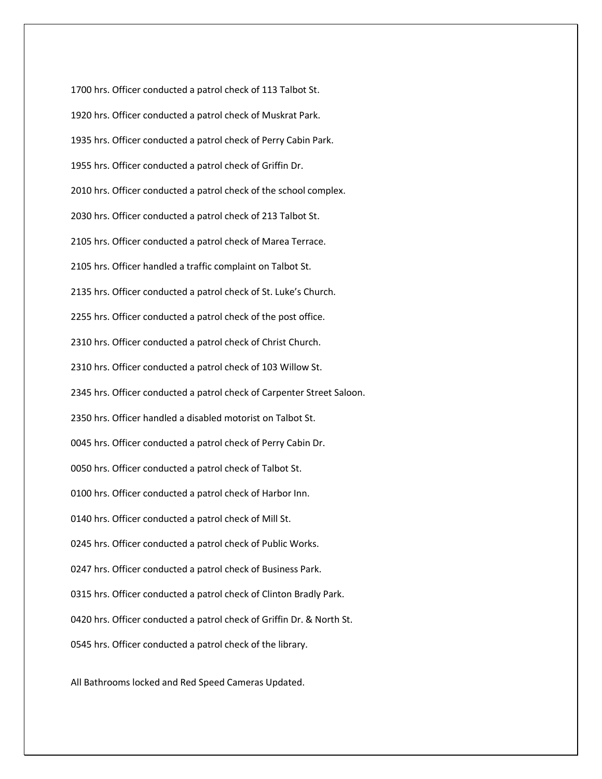1700 hrs. Officer conducted a patrol check of 113 Talbot St. 1920 hrs. Officer conducted a patrol check of Muskrat Park. 1935 hrs. Officer conducted a patrol check of Perry Cabin Park. 1955 hrs. Officer conducted a patrol check of Griffin Dr. 2010 hrs. Officer conducted a patrol check of the school complex. 2030 hrs. Officer conducted a patrol check of 213 Talbot St. 2105 hrs. Officer conducted a patrol check of Marea Terrace. 2105 hrs. Officer handled a traffic complaint on Talbot St. 2135 hrs. Officer conducted a patrol check of St. Luke's Church. 2255 hrs. Officer conducted a patrol check of the post office. 2310 hrs. Officer conducted a patrol check of Christ Church. 2310 hrs. Officer conducted a patrol check of 103 Willow St. 2345 hrs. Officer conducted a patrol check of Carpenter Street Saloon. 2350 hrs. Officer handled a disabled motorist on Talbot St. 0045 hrs. Officer conducted a patrol check of Perry Cabin Dr. 0050 hrs. Officer conducted a patrol check of Talbot St. 0100 hrs. Officer conducted a patrol check of Harbor Inn. 0140 hrs. Officer conducted a patrol check of Mill St. 0245 hrs. Officer conducted a patrol check of Public Works. 0247 hrs. Officer conducted a patrol check of Business Park. 0315 hrs. Officer conducted a patrol check of Clinton Bradly Park. 0420 hrs. Officer conducted a patrol check of Griffin Dr. & North St. 0545 hrs. Officer conducted a patrol check of the library.

All Bathrooms locked and Red Speed Cameras Updated.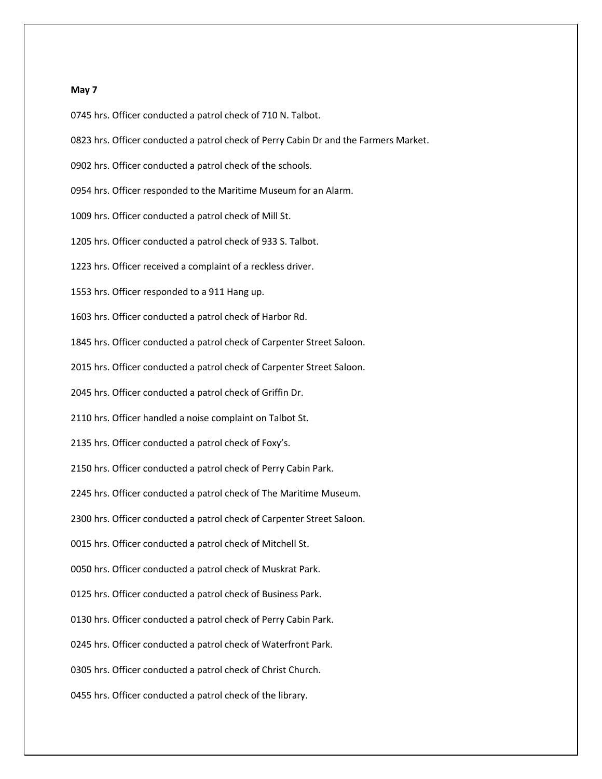### **May 7**

0745 hrs. Officer conducted a patrol check of 710 N. Talbot.

- 0823 hrs. Officer conducted a patrol check of Perry Cabin Dr and the Farmers Market.
- 0902 hrs. Officer conducted a patrol check of the schools.
- 0954 hrs. Officer responded to the Maritime Museum for an Alarm.
- 1009 hrs. Officer conducted a patrol check of Mill St.
- 1205 hrs. Officer conducted a patrol check of 933 S. Talbot.
- 1223 hrs. Officer received a complaint of a reckless driver.
- 1553 hrs. Officer responded to a 911 Hang up.
- 1603 hrs. Officer conducted a patrol check of Harbor Rd.
- 1845 hrs. Officer conducted a patrol check of Carpenter Street Saloon.
- 2015 hrs. Officer conducted a patrol check of Carpenter Street Saloon.
- 2045 hrs. Officer conducted a patrol check of Griffin Dr.
- 2110 hrs. Officer handled a noise complaint on Talbot St.
- 2135 hrs. Officer conducted a patrol check of Foxy's.
- 2150 hrs. Officer conducted a patrol check of Perry Cabin Park.
- 2245 hrs. Officer conducted a patrol check of The Maritime Museum.
- 2300 hrs. Officer conducted a patrol check of Carpenter Street Saloon.
- 0015 hrs. Officer conducted a patrol check of Mitchell St.
- 0050 hrs. Officer conducted a patrol check of Muskrat Park.
- 0125 hrs. Officer conducted a patrol check of Business Park.
- 0130 hrs. Officer conducted a patrol check of Perry Cabin Park.
- 0245 hrs. Officer conducted a patrol check of Waterfront Park.
- 0305 hrs. Officer conducted a patrol check of Christ Church.
- 0455 hrs. Officer conducted a patrol check of the library.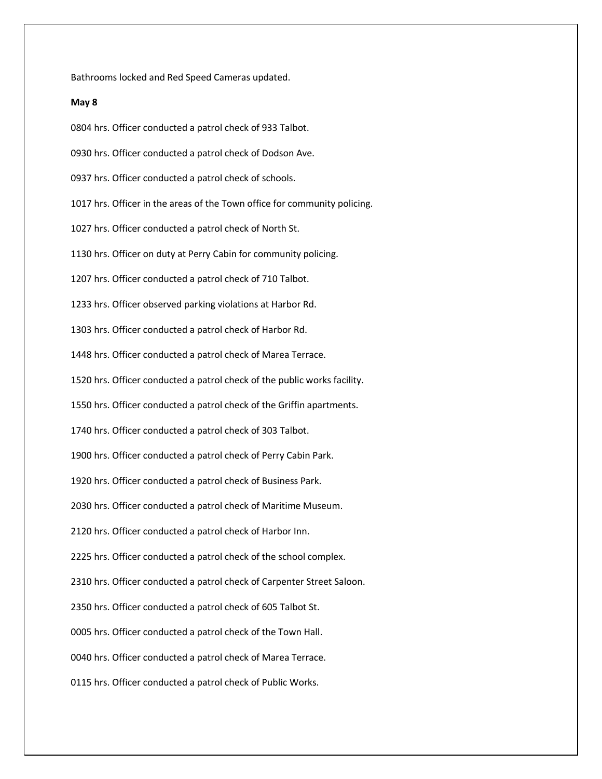Bathrooms locked and Red Speed Cameras updated.

# **May 8**

0804 hrs. Officer conducted a patrol check of 933 Talbot. 0930 hrs. Officer conducted a patrol check of Dodson Ave. 0937 hrs. Officer conducted a patrol check of schools. 1017 hrs. Officer in the areas of the Town office for community policing. 1027 hrs. Officer conducted a patrol check of North St. 1130 hrs. Officer on duty at Perry Cabin for community policing. 1207 hrs. Officer conducted a patrol check of 710 Talbot. 1233 hrs. Officer observed parking violations at Harbor Rd. 1303 hrs. Officer conducted a patrol check of Harbor Rd. 1448 hrs. Officer conducted a patrol check of Marea Terrace. 1520 hrs. Officer conducted a patrol check of the public works facility. 1550 hrs. Officer conducted a patrol check of the Griffin apartments. 1740 hrs. Officer conducted a patrol check of 303 Talbot. 1900 hrs. Officer conducted a patrol check of Perry Cabin Park. 1920 hrs. Officer conducted a patrol check of Business Park. 2030 hrs. Officer conducted a patrol check of Maritime Museum. 2120 hrs. Officer conducted a patrol check of Harbor Inn. 2225 hrs. Officer conducted a patrol check of the school complex. 2310 hrs. Officer conducted a patrol check of Carpenter Street Saloon. 2350 hrs. Officer conducted a patrol check of 605 Talbot St. 0005 hrs. Officer conducted a patrol check of the Town Hall. 0040 hrs. Officer conducted a patrol check of Marea Terrace. 0115 hrs. Officer conducted a patrol check of Public Works.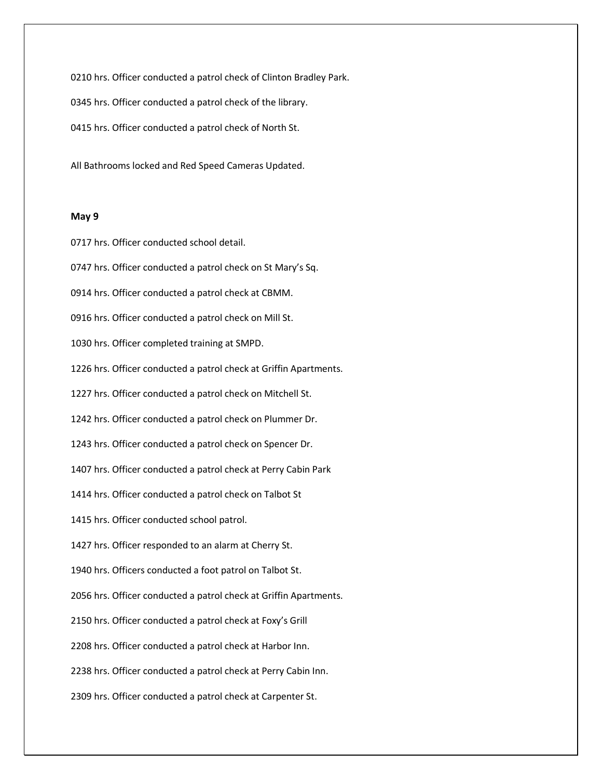0210 hrs. Officer conducted a patrol check of Clinton Bradley Park. 0345 hrs. Officer conducted a patrol check of the library. 0415 hrs. Officer conducted a patrol check of North St.

All Bathrooms locked and Red Speed Cameras Updated.

# **May 9**

0717 hrs. Officer conducted school detail.

0747 hrs. Officer conducted a patrol check on St Mary's Sq.

0914 hrs. Officer conducted a patrol check at CBMM.

0916 hrs. Officer conducted a patrol check on Mill St.

1030 hrs. Officer completed training at SMPD.

1226 hrs. Officer conducted a patrol check at Griffin Apartments.

1227 hrs. Officer conducted a patrol check on Mitchell St.

1242 hrs. Officer conducted a patrol check on Plummer Dr.

1243 hrs. Officer conducted a patrol check on Spencer Dr.

1407 hrs. Officer conducted a patrol check at Perry Cabin Park

1414 hrs. Officer conducted a patrol check on Talbot St

1415 hrs. Officer conducted school patrol.

1427 hrs. Officer responded to an alarm at Cherry St.

1940 hrs. Officers conducted a foot patrol on Talbot St.

2056 hrs. Officer conducted a patrol check at Griffin Apartments.

2150 hrs. Officer conducted a patrol check at Foxy's Grill

2208 hrs. Officer conducted a patrol check at Harbor Inn.

2238 hrs. Officer conducted a patrol check at Perry Cabin Inn.

2309 hrs. Officer conducted a patrol check at Carpenter St.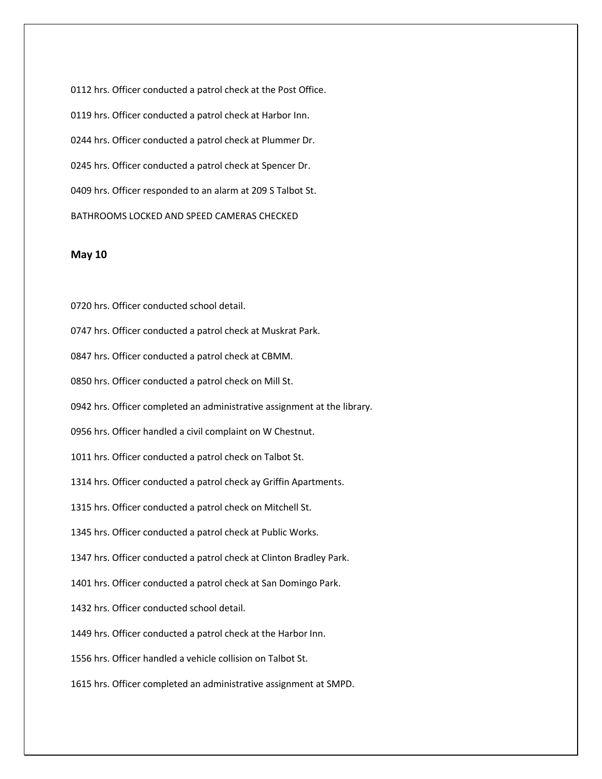0112 hrs. Officer conducted a patrol check at the Post Office. 0119 hrs. Officer conducted a patrol check at Harbor Inn. 0244 hrs. Officer conducted a patrol check at Plummer Dr. 0245 hrs. Officer conducted a patrol check at Spencer Dr. 0409 hrs. Officer responded to an alarm at 209 S Talbot St. BATHROOMS LOCKED AND SPEED CAMERAS CHECKED

## **May 10**

0720 hrs. Officer conducted school detail.

0747 hrs. Officer conducted a patrol check at Muskrat Park.

0847 hrs. Officer conducted a patrol check at CBMM.

0850 hrs. Officer conducted a patrol check on Mill St.

0942 hrs. Officer completed an administrative assignment at the library.

0956 hrs. Officer handled a civil complaint on W Chestnut.

1011 hrs. Officer conducted a patrol check on Talbot St.

1314 hrs. Officer conducted a patrol check ay Griffin Apartments.

1315 hrs. Officer conducted a patrol check on Mitchell St.

1345 hrs. Officer conducted a patrol check at Public Works.

1347 hrs. Officer conducted a patrol check at Clinton Bradley Park.

1401 hrs. Officer conducted a patrol check at San Domingo Park.

1432 hrs. Officer conducted school detail.

1449 hrs. Officer conducted a patrol check at the Harbor Inn.

1556 hrs. Officer handled a vehicle collision on Talbot St.

1615 hrs. Officer completed an administrative assignment at SMPD.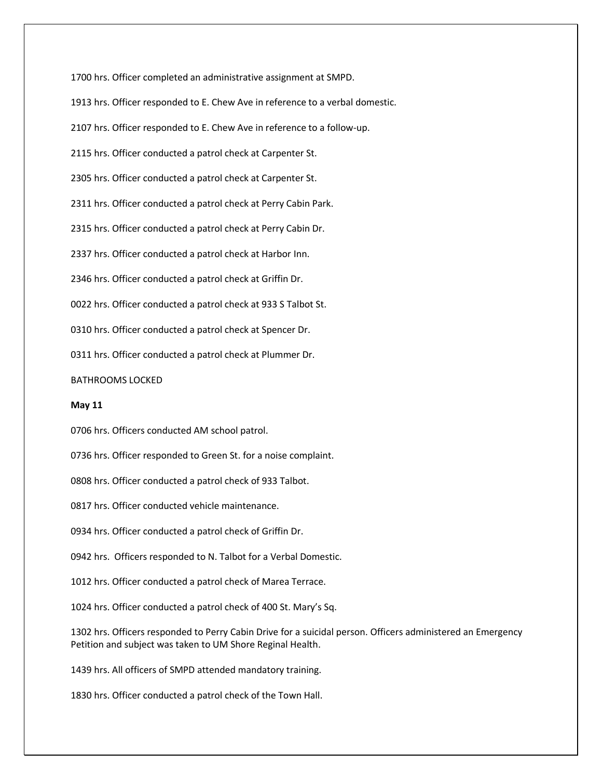1700 hrs. Officer completed an administrative assignment at SMPD. 1913 hrs. Officer responded to E. Chew Ave in reference to a verbal domestic. 2107 hrs. Officer responded to E. Chew Ave in reference to a follow-up. 2115 hrs. Officer conducted a patrol check at Carpenter St. 2305 hrs. Officer conducted a patrol check at Carpenter St. 2311 hrs. Officer conducted a patrol check at Perry Cabin Park. 2315 hrs. Officer conducted a patrol check at Perry Cabin Dr. 2337 hrs. Officer conducted a patrol check at Harbor Inn. 2346 hrs. Officer conducted a patrol check at Griffin Dr. 0022 hrs. Officer conducted a patrol check at 933 S Talbot St. 0310 hrs. Officer conducted a patrol check at Spencer Dr. 0311 hrs. Officer conducted a patrol check at Plummer Dr. BATHROOMS LOCKED **May 11** 0706 hrs. Officers conducted AM school patrol.

0736 hrs. Officer responded to Green St. for a noise complaint.

0808 hrs. Officer conducted a patrol check of 933 Talbot.

0817 hrs. Officer conducted vehicle maintenance.

0934 hrs. Officer conducted a patrol check of Griffin Dr.

0942 hrs. Officers responded to N. Talbot for a Verbal Domestic.

1012 hrs. Officer conducted a patrol check of Marea Terrace.

1024 hrs. Officer conducted a patrol check of 400 St. Mary's Sq.

1302 hrs. Officers responded to Perry Cabin Drive for a suicidal person. Officers administered an Emergency Petition and subject was taken to UM Shore Reginal Health.

1439 hrs. All officers of SMPD attended mandatory training.

1830 hrs. Officer conducted a patrol check of the Town Hall.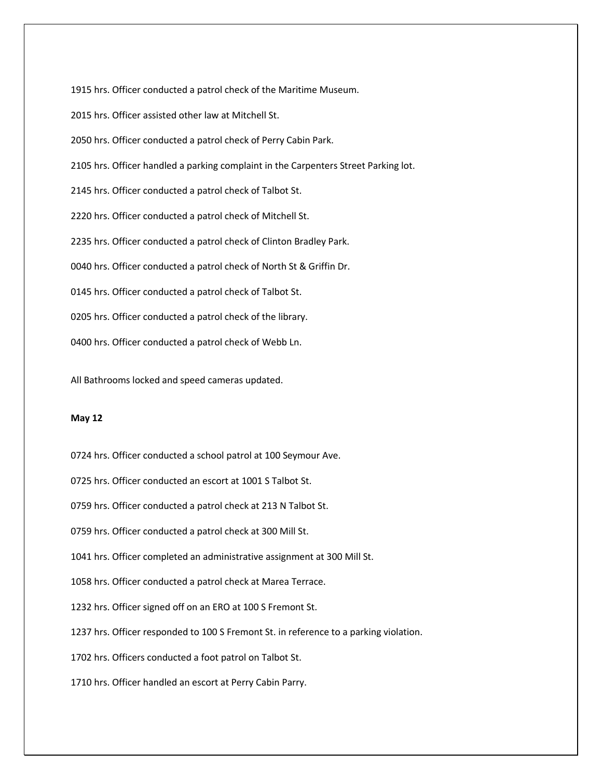1915 hrs. Officer conducted a patrol check of the Maritime Museum.

2015 hrs. Officer assisted other law at Mitchell St.

2050 hrs. Officer conducted a patrol check of Perry Cabin Park.

2105 hrs. Officer handled a parking complaint in the Carpenters Street Parking lot.

2145 hrs. Officer conducted a patrol check of Talbot St.

2220 hrs. Officer conducted a patrol check of Mitchell St.

2235 hrs. Officer conducted a patrol check of Clinton Bradley Park.

0040 hrs. Officer conducted a patrol check of North St & Griffin Dr.

0145 hrs. Officer conducted a patrol check of Talbot St.

0205 hrs. Officer conducted a patrol check of the library.

0400 hrs. Officer conducted a patrol check of Webb Ln.

All Bathrooms locked and speed cameras updated.

## **May 12**

0724 hrs. Officer conducted a school patrol at 100 Seymour Ave.

0725 hrs. Officer conducted an escort at 1001 S Talbot St.

0759 hrs. Officer conducted a patrol check at 213 N Talbot St.

0759 hrs. Officer conducted a patrol check at 300 Mill St.

1041 hrs. Officer completed an administrative assignment at 300 Mill St.

1058 hrs. Officer conducted a patrol check at Marea Terrace.

1232 hrs. Officer signed off on an ERO at 100 S Fremont St.

1237 hrs. Officer responded to 100 S Fremont St. in reference to a parking violation.

1702 hrs. Officers conducted a foot patrol on Talbot St.

1710 hrs. Officer handled an escort at Perry Cabin Parry.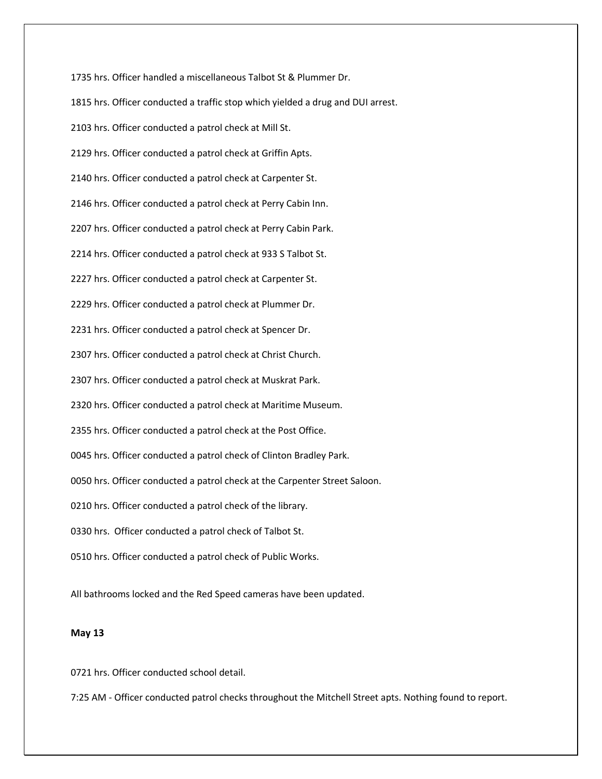1735 hrs. Officer handled a miscellaneous Talbot St & Plummer Dr. 1815 hrs. Officer conducted a traffic stop which yielded a drug and DUI arrest. 2103 hrs. Officer conducted a patrol check at Mill St. 2129 hrs. Officer conducted a patrol check at Griffin Apts. 2140 hrs. Officer conducted a patrol check at Carpenter St. 2146 hrs. Officer conducted a patrol check at Perry Cabin Inn. 2207 hrs. Officer conducted a patrol check at Perry Cabin Park. 2214 hrs. Officer conducted a patrol check at 933 S Talbot St. 2227 hrs. Officer conducted a patrol check at Carpenter St. 2229 hrs. Officer conducted a patrol check at Plummer Dr. 2231 hrs. Officer conducted a patrol check at Spencer Dr. 2307 hrs. Officer conducted a patrol check at Christ Church. 2307 hrs. Officer conducted a patrol check at Muskrat Park. 2320 hrs. Officer conducted a patrol check at Maritime Museum. 2355 hrs. Officer conducted a patrol check at the Post Office. 0045 hrs. Officer conducted a patrol check of Clinton Bradley Park. 0050 hrs. Officer conducted a patrol check at the Carpenter Street Saloon. 0210 hrs. Officer conducted a patrol check of the library. 0330 hrs. Officer conducted a patrol check of Talbot St. 0510 hrs. Officer conducted a patrol check of Public Works.

All bathrooms locked and the Red Speed cameras have been updated.

# **May 13**

0721 hrs. Officer conducted school detail.

7:25 AM - Officer conducted patrol checks throughout the Mitchell Street apts. Nothing found to report.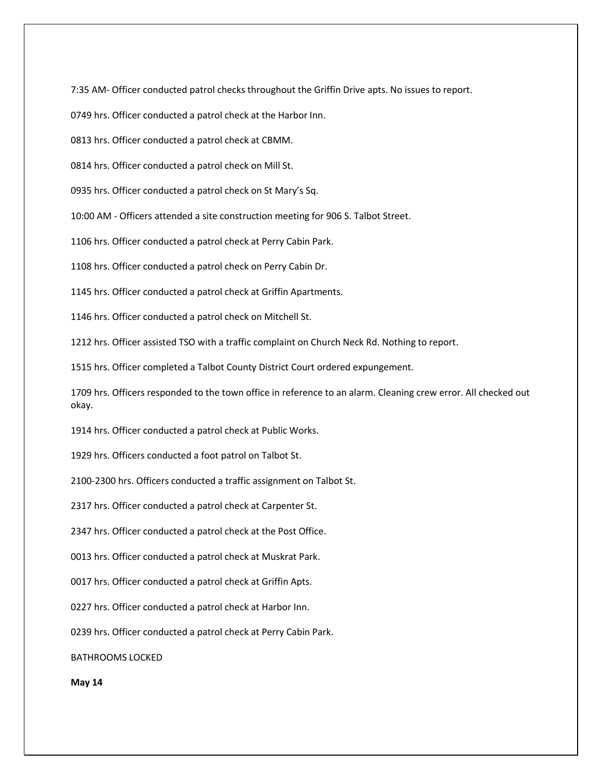7:35 AM- Officer conducted patrol checks throughout the Griffin Drive apts. No issues to report.

0749 hrs. Officer conducted a patrol check at the Harbor Inn.

0813 hrs. Officer conducted a patrol check at CBMM.

0814 hrs. Officer conducted a patrol check on Mill St.

0935 hrs. Officer conducted a patrol check on St Mary's Sq.

10:00 AM - Officers attended a site construction meeting for 906 S. Talbot Street.

1106 hrs. Officer conducted a patrol check at Perry Cabin Park.

1108 hrs. Officer conducted a patrol check on Perry Cabin Dr.

1145 hrs. Officer conducted a patrol check at Griffin Apartments.

1146 hrs. Officer conducted a patrol check on Mitchell St.

1212 hrs. Officer assisted TSO with a traffic complaint on Church Neck Rd. Nothing to report.

1515 hrs. Officer completed a Talbot County District Court ordered expungement.

1709 hrs. Officers responded to the town office in reference to an alarm. Cleaning crew error. All checked out okay.

1914 hrs. Officer conducted a patrol check at Public Works.

1929 hrs. Officers conducted a foot patrol on Talbot St.

2100-2300 hrs. Officers conducted a traffic assignment on Talbot St.

2317 hrs. Officer conducted a patrol check at Carpenter St.

2347 hrs. Officer conducted a patrol check at the Post Office.

0013 hrs. Officer conducted a patrol check at Muskrat Park.

0017 hrs. Officer conducted a patrol check at Griffin Apts.

0227 hrs. Officer conducted a patrol check at Harbor Inn.

0239 hrs. Officer conducted a patrol check at Perry Cabin Park.

BATHROOMS LOCKED

**May 14**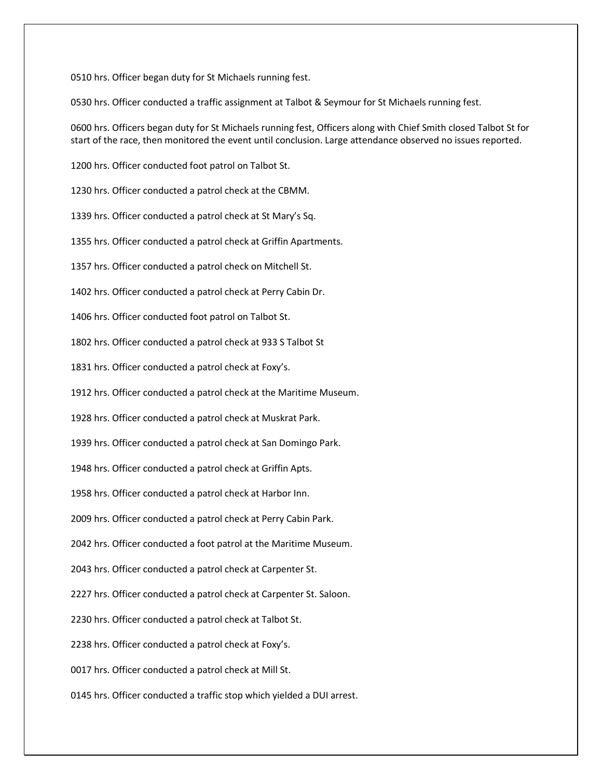0510 hrs. Officer began duty for St Michaels running fest.

0530 hrs. Officer conducted a traffic assignment at Talbot & Seymour for St Michaels running fest.

0600 hrs. Officers began duty for St Michaels running fest, Officers along with Chief Smith closed Talbot St for start of the race, then monitored the event until conclusion. Large attendance observed no issues reported.

1200 hrs. Officer conducted foot patrol on Talbot St.

1230 hrs. Officer conducted a patrol check at the CBMM.

1339 hrs. Officer conducted a patrol check at St Mary's Sq.

1355 hrs. Officer conducted a patrol check at Griffin Apartments.

1357 hrs. Officer conducted a patrol check on Mitchell St.

1402 hrs. Officer conducted a patrol check at Perry Cabin Dr.

1406 hrs. Officer conducted foot patrol on Talbot St.

1802 hrs. Officer conducted a patrol check at 933 S Talbot St

1831 hrs. Officer conducted a patrol check at Foxy's.

1912 hrs. Officer conducted a patrol check at the Maritime Museum.

1928 hrs. Officer conducted a patrol check at Muskrat Park.

1939 hrs. Officer conducted a patrol check at San Domingo Park.

1948 hrs. Officer conducted a patrol check at Griffin Apts.

1958 hrs. Officer conducted a patrol check at Harbor Inn.

2009 hrs. Officer conducted a patrol check at Perry Cabin Park.

2042 hrs. Officer conducted a foot patrol at the Maritime Museum.

2043 hrs. Officer conducted a patrol check at Carpenter St.

2227 hrs. Officer conducted a patrol check at Carpenter St. Saloon.

2230 hrs. Officer conducted a patrol check at Talbot St.

2238 hrs. Officer conducted a patrol check at Foxy's.

0017 hrs. Officer conducted a patrol check at Mill St.

0145 hrs. Officer conducted a traffic stop which yielded a DUI arrest.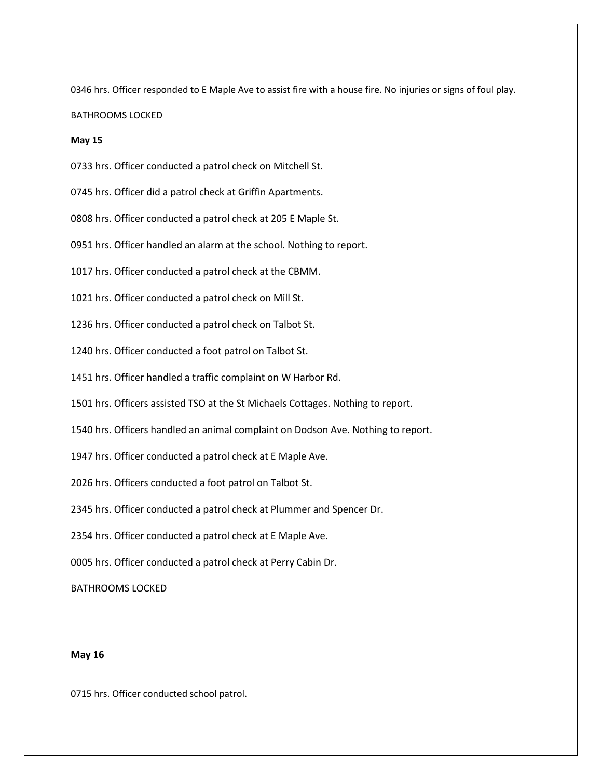0346 hrs. Officer responded to E Maple Ave to assist fire with a house fire. No injuries or signs of foul play. BATHROOMS LOCKED

# **May 15**

0733 hrs. Officer conducted a patrol check on Mitchell St.

0745 hrs. Officer did a patrol check at Griffin Apartments.

0808 hrs. Officer conducted a patrol check at 205 E Maple St.

0951 hrs. Officer handled an alarm at the school. Nothing to report.

1017 hrs. Officer conducted a patrol check at the CBMM.

1021 hrs. Officer conducted a patrol check on Mill St.

1236 hrs. Officer conducted a patrol check on Talbot St.

1240 hrs. Officer conducted a foot patrol on Talbot St.

1451 hrs. Officer handled a traffic complaint on W Harbor Rd.

1501 hrs. Officers assisted TSO at the St Michaels Cottages. Nothing to report.

1540 hrs. Officers handled an animal complaint on Dodson Ave. Nothing to report.

1947 hrs. Officer conducted a patrol check at E Maple Ave.

2026 hrs. Officers conducted a foot patrol on Talbot St.

2345 hrs. Officer conducted a patrol check at Plummer and Spencer Dr.

2354 hrs. Officer conducted a patrol check at E Maple Ave.

0005 hrs. Officer conducted a patrol check at Perry Cabin Dr.

BATHROOMS LOCKED

# **May 16**

0715 hrs. Officer conducted school patrol.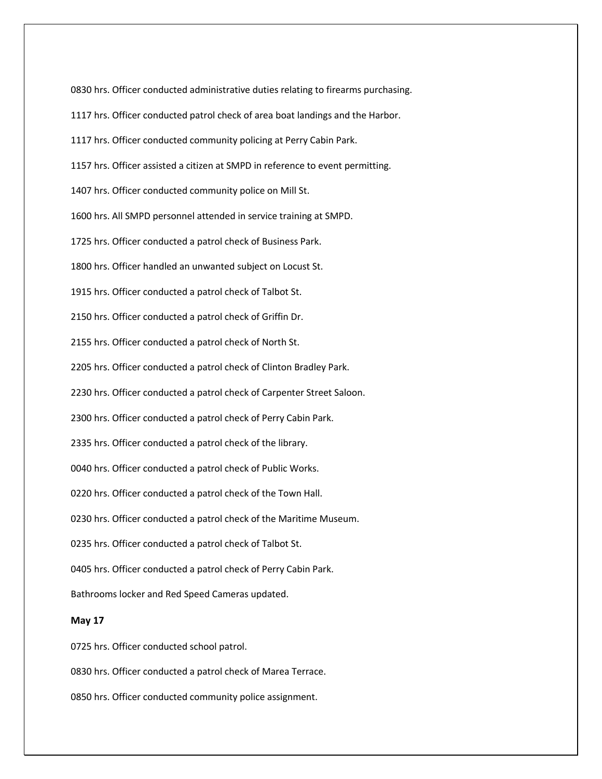0830 hrs. Officer conducted administrative duties relating to firearms purchasing.

- 1117 hrs. Officer conducted patrol check of area boat landings and the Harbor.
- 1117 hrs. Officer conducted community policing at Perry Cabin Park.
- 1157 hrs. Officer assisted a citizen at SMPD in reference to event permitting.
- 1407 hrs. Officer conducted community police on Mill St.
- 1600 hrs. All SMPD personnel attended in service training at SMPD.
- 1725 hrs. Officer conducted a patrol check of Business Park.
- 1800 hrs. Officer handled an unwanted subject on Locust St.
- 1915 hrs. Officer conducted a patrol check of Talbot St.
- 2150 hrs. Officer conducted a patrol check of Griffin Dr.
- 2155 hrs. Officer conducted a patrol check of North St.
- 2205 hrs. Officer conducted a patrol check of Clinton Bradley Park.
- 2230 hrs. Officer conducted a patrol check of Carpenter Street Saloon.
- 2300 hrs. Officer conducted a patrol check of Perry Cabin Park.
- 2335 hrs. Officer conducted a patrol check of the library.
- 0040 hrs. Officer conducted a patrol check of Public Works.
- 0220 hrs. Officer conducted a patrol check of the Town Hall.
- 0230 hrs. Officer conducted a patrol check of the Maritime Museum.
- 0235 hrs. Officer conducted a patrol check of Talbot St.
- 0405 hrs. Officer conducted a patrol check of Perry Cabin Park.
- Bathrooms locker and Red Speed Cameras updated.

## **May 17**

- 0725 hrs. Officer conducted school patrol.
- 0830 hrs. Officer conducted a patrol check of Marea Terrace.
- 0850 hrs. Officer conducted community police assignment.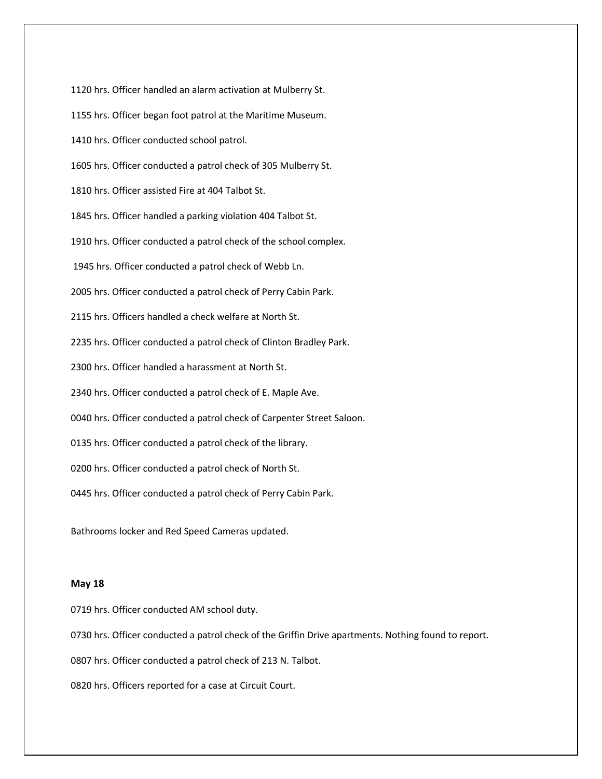1120 hrs. Officer handled an alarm activation at Mulberry St. 1155 hrs. Officer began foot patrol at the Maritime Museum. 1410 hrs. Officer conducted school patrol. 1605 hrs. Officer conducted a patrol check of 305 Mulberry St. 1810 hrs. Officer assisted Fire at 404 Talbot St. 1845 hrs. Officer handled a parking violation 404 Talbot St. 1910 hrs. Officer conducted a patrol check of the school complex. 1945 hrs. Officer conducted a patrol check of Webb Ln. 2005 hrs. Officer conducted a patrol check of Perry Cabin Park. 2115 hrs. Officers handled a check welfare at North St. 2235 hrs. Officer conducted a patrol check of Clinton Bradley Park. 2300 hrs. Officer handled a harassment at North St. 2340 hrs. Officer conducted a patrol check of E. Maple Ave. 0040 hrs. Officer conducted a patrol check of Carpenter Street Saloon. 0135 hrs. Officer conducted a patrol check of the library. 0200 hrs. Officer conducted a patrol check of North St. 0445 hrs. Officer conducted a patrol check of Perry Cabin Park.

Bathrooms locker and Red Speed Cameras updated.

# **May 18**

0719 hrs. Officer conducted AM school duty.

0730 hrs. Officer conducted a patrol check of the Griffin Drive apartments. Nothing found to report.

0807 hrs. Officer conducted a patrol check of 213 N. Talbot.

0820 hrs. Officers reported for a case at Circuit Court.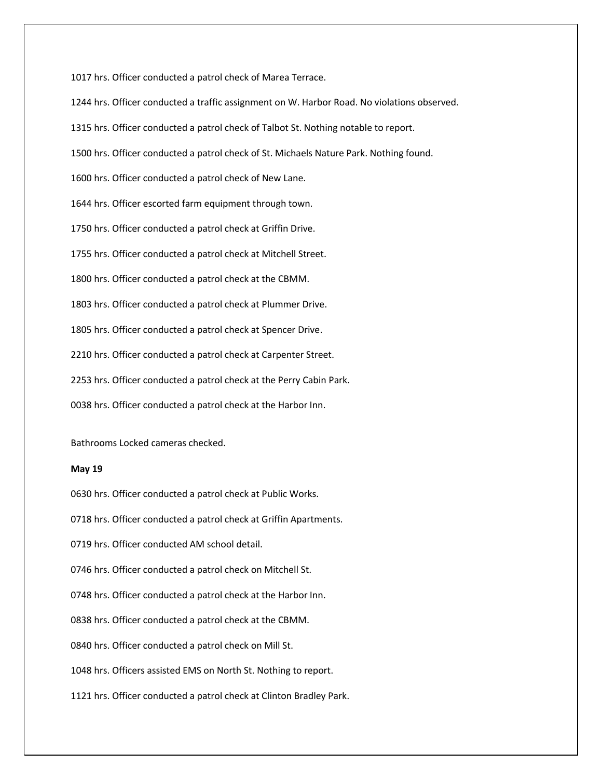1017 hrs. Officer conducted a patrol check of Marea Terrace.

1244 hrs. Officer conducted a traffic assignment on W. Harbor Road. No violations observed.

1315 hrs. Officer conducted a patrol check of Talbot St. Nothing notable to report.

1500 hrs. Officer conducted a patrol check of St. Michaels Nature Park. Nothing found.

1600 hrs. Officer conducted a patrol check of New Lane.

1644 hrs. Officer escorted farm equipment through town.

1750 hrs. Officer conducted a patrol check at Griffin Drive.

1755 hrs. Officer conducted a patrol check at Mitchell Street.

1800 hrs. Officer conducted a patrol check at the CBMM.

1803 hrs. Officer conducted a patrol check at Plummer Drive.

1805 hrs. Officer conducted a patrol check at Spencer Drive.

2210 hrs. Officer conducted a patrol check at Carpenter Street.

2253 hrs. Officer conducted a patrol check at the Perry Cabin Park.

0038 hrs. Officer conducted a patrol check at the Harbor Inn.

Bathrooms Locked cameras checked.

# **May 19**

0630 hrs. Officer conducted a patrol check at Public Works.

0718 hrs. Officer conducted a patrol check at Griffin Apartments.

0719 hrs. Officer conducted AM school detail.

0746 hrs. Officer conducted a patrol check on Mitchell St.

0748 hrs. Officer conducted a patrol check at the Harbor Inn.

0838 hrs. Officer conducted a patrol check at the CBMM.

0840 hrs. Officer conducted a patrol check on Mill St.

1048 hrs. Officers assisted EMS on North St. Nothing to report.

1121 hrs. Officer conducted a patrol check at Clinton Bradley Park.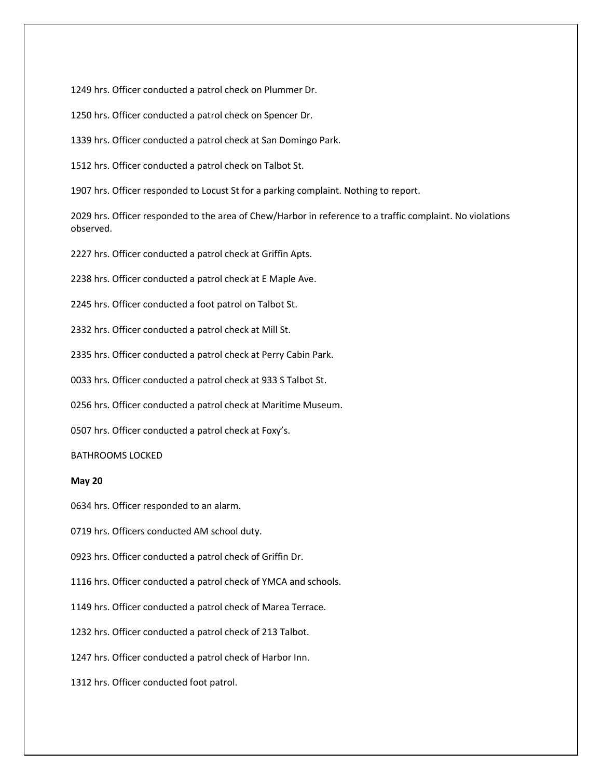1249 hrs. Officer conducted a patrol check on Plummer Dr.

1250 hrs. Officer conducted a patrol check on Spencer Dr.

1339 hrs. Officer conducted a patrol check at San Domingo Park.

1512 hrs. Officer conducted a patrol check on Talbot St.

1907 hrs. Officer responded to Locust St for a parking complaint. Nothing to report.

2029 hrs. Officer responded to the area of Chew/Harbor in reference to a traffic complaint. No violations observed.

2227 hrs. Officer conducted a patrol check at Griffin Apts.

2238 hrs. Officer conducted a patrol check at E Maple Ave.

2245 hrs. Officer conducted a foot patrol on Talbot St.

2332 hrs. Officer conducted a patrol check at Mill St.

2335 hrs. Officer conducted a patrol check at Perry Cabin Park.

0033 hrs. Officer conducted a patrol check at 933 S Talbot St.

0256 hrs. Officer conducted a patrol check at Maritime Museum.

0507 hrs. Officer conducted a patrol check at Foxy's.

# BATHROOMS LOCKED

# **May 20**

0634 hrs. Officer responded to an alarm.

0719 hrs. Officers conducted AM school duty.

0923 hrs. Officer conducted a patrol check of Griffin Dr.

1116 hrs. Officer conducted a patrol check of YMCA and schools.

1149 hrs. Officer conducted a patrol check of Marea Terrace.

1232 hrs. Officer conducted a patrol check of 213 Talbot.

1247 hrs. Officer conducted a patrol check of Harbor Inn.

1312 hrs. Officer conducted foot patrol.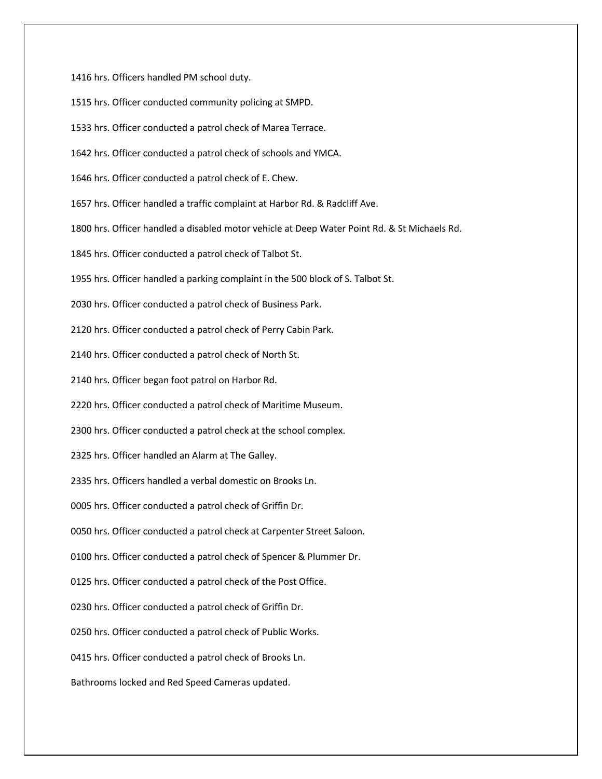1416 hrs. Officers handled PM school duty.

1515 hrs. Officer conducted community policing at SMPD.

1533 hrs. Officer conducted a patrol check of Marea Terrace.

1642 hrs. Officer conducted a patrol check of schools and YMCA.

1646 hrs. Officer conducted a patrol check of E. Chew.

1657 hrs. Officer handled a traffic complaint at Harbor Rd. & Radcliff Ave.

1800 hrs. Officer handled a disabled motor vehicle at Deep Water Point Rd. & St Michaels Rd.

1845 hrs. Officer conducted a patrol check of Talbot St.

1955 hrs. Officer handled a parking complaint in the 500 block of S. Talbot St.

2030 hrs. Officer conducted a patrol check of Business Park.

2120 hrs. Officer conducted a patrol check of Perry Cabin Park.

2140 hrs. Officer conducted a patrol check of North St.

2140 hrs. Officer began foot patrol on Harbor Rd.

2220 hrs. Officer conducted a patrol check of Maritime Museum.

2300 hrs. Officer conducted a patrol check at the school complex.

2325 hrs. Officer handled an Alarm at The Galley.

2335 hrs. Officers handled a verbal domestic on Brooks Ln.

0005 hrs. Officer conducted a patrol check of Griffin Dr.

0050 hrs. Officer conducted a patrol check at Carpenter Street Saloon.

0100 hrs. Officer conducted a patrol check of Spencer & Plummer Dr.

0125 hrs. Officer conducted a patrol check of the Post Office.

0230 hrs. Officer conducted a patrol check of Griffin Dr.

0250 hrs. Officer conducted a patrol check of Public Works.

0415 hrs. Officer conducted a patrol check of Brooks Ln.

Bathrooms locked and Red Speed Cameras updated.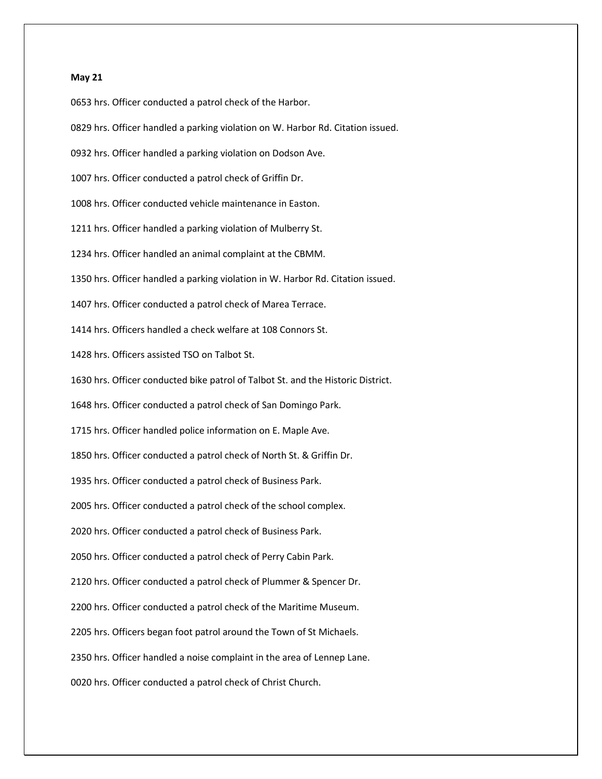## **May 21**

0653 hrs. Officer conducted a patrol check of the Harbor.

0829 hrs. Officer handled a parking violation on W. Harbor Rd. Citation issued.

0932 hrs. Officer handled a parking violation on Dodson Ave.

1007 hrs. Officer conducted a patrol check of Griffin Dr.

1008 hrs. Officer conducted vehicle maintenance in Easton.

1211 hrs. Officer handled a parking violation of Mulberry St.

1234 hrs. Officer handled an animal complaint at the CBMM.

1350 hrs. Officer handled a parking violation in W. Harbor Rd. Citation issued.

1407 hrs. Officer conducted a patrol check of Marea Terrace.

1414 hrs. Officers handled a check welfare at 108 Connors St.

1428 hrs. Officers assisted TSO on Talbot St.

1630 hrs. Officer conducted bike patrol of Talbot St. and the Historic District.

1648 hrs. Officer conducted a patrol check of San Domingo Park.

1715 hrs. Officer handled police information on E. Maple Ave.

1850 hrs. Officer conducted a patrol check of North St. & Griffin Dr.

1935 hrs. Officer conducted a patrol check of Business Park.

2005 hrs. Officer conducted a patrol check of the school complex.

2020 hrs. Officer conducted a patrol check of Business Park.

2050 hrs. Officer conducted a patrol check of Perry Cabin Park.

2120 hrs. Officer conducted a patrol check of Plummer & Spencer Dr.

2200 hrs. Officer conducted a patrol check of the Maritime Museum.

2205 hrs. Officers began foot patrol around the Town of St Michaels.

2350 hrs. Officer handled a noise complaint in the area of Lennep Lane.

0020 hrs. Officer conducted a patrol check of Christ Church.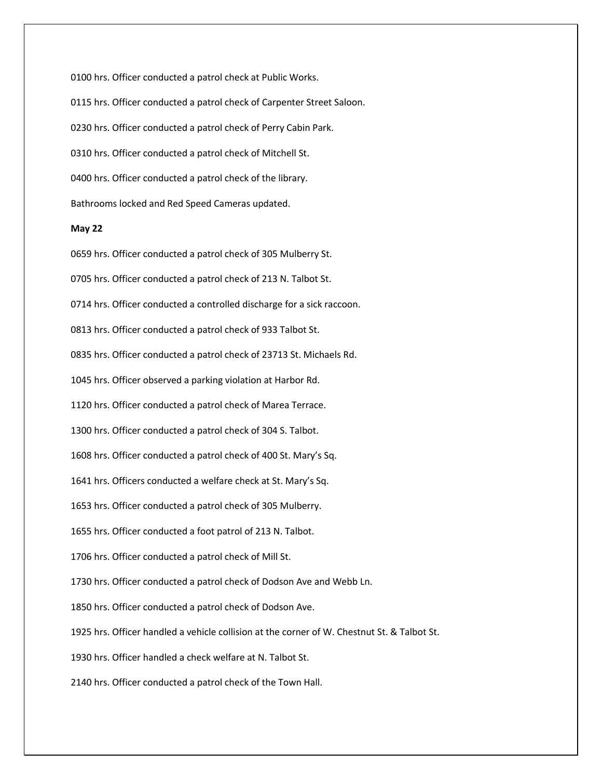0100 hrs. Officer conducted a patrol check at Public Works. 0115 hrs. Officer conducted a patrol check of Carpenter Street Saloon. 0230 hrs. Officer conducted a patrol check of Perry Cabin Park. 0310 hrs. Officer conducted a patrol check of Mitchell St. 0400 hrs. Officer conducted a patrol check of the library. Bathrooms locked and Red Speed Cameras updated.

### **May 22**

0659 hrs. Officer conducted a patrol check of 305 Mulberry St. 0705 hrs. Officer conducted a patrol check of 213 N. Talbot St. 0714 hrs. Officer conducted a controlled discharge for a sick raccoon. 0813 hrs. Officer conducted a patrol check of 933 Talbot St. 0835 hrs. Officer conducted a patrol check of 23713 St. Michaels Rd. 1045 hrs. Officer observed a parking violation at Harbor Rd. 1120 hrs. Officer conducted a patrol check of Marea Terrace. 1300 hrs. Officer conducted a patrol check of 304 S. Talbot. 1608 hrs. Officer conducted a patrol check of 400 St. Mary's Sq. 1641 hrs. Officers conducted a welfare check at St. Mary's Sq. 1653 hrs. Officer conducted a patrol check of 305 Mulberry. 1655 hrs. Officer conducted a foot patrol of 213 N. Talbot. 1706 hrs. Officer conducted a patrol check of Mill St. 1730 hrs. Officer conducted a patrol check of Dodson Ave and Webb Ln. 1850 hrs. Officer conducted a patrol check of Dodson Ave. 1925 hrs. Officer handled a vehicle collision at the corner of W. Chestnut St. & Talbot St. 1930 hrs. Officer handled a check welfare at N. Talbot St. 2140 hrs. Officer conducted a patrol check of the Town Hall.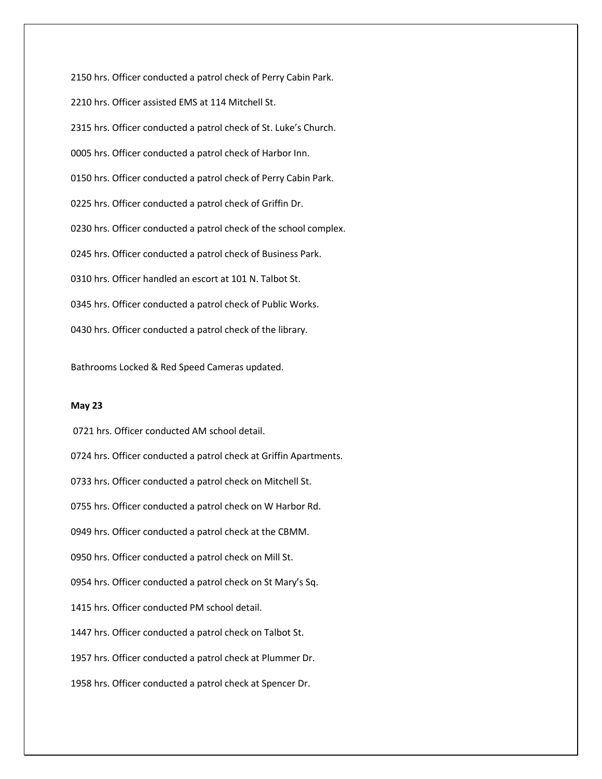2150 hrs. Officer conducted a patrol check of Perry Cabin Park. 2210 hrs. Officer assisted EMS at 114 Mitchell St. 2315 hrs. Officer conducted a patrol check of St. Luke's Church. 0005 hrs. Officer conducted a patrol check of Harbor Inn. 0150 hrs. Officer conducted a patrol check of Perry Cabin Park. 0225 hrs. Officer conducted a patrol check of Griffin Dr. 0230 hrs. Officer conducted a patrol check of the school complex. 0245 hrs. Officer conducted a patrol check of Business Park. 0310 hrs. Officer handled an escort at 101 N. Talbot St. 0345 hrs. Officer conducted a patrol check of Public Works. 0430 hrs. Officer conducted a patrol check of the library.

Bathrooms Locked & Red Speed Cameras updated.

# **May 23**

0721 hrs. Officer conducted AM school detail. 0724 hrs. Officer conducted a patrol check at Griffin Apartments. 0733 hrs. Officer conducted a patrol check on Mitchell St. 0755 hrs. Officer conducted a patrol check on W Harbor Rd. 0949 hrs. Officer conducted a patrol check at the CBMM. 0950 hrs. Officer conducted a patrol check on Mill St. 0954 hrs. Officer conducted a patrol check on St Mary's Sq. 1415 hrs. Officer conducted PM school detail. 1447 hrs. Officer conducted a patrol check on Talbot St. 1957 hrs. Officer conducted a patrol check at Plummer Dr. 1958 hrs. Officer conducted a patrol check at Spencer Dr.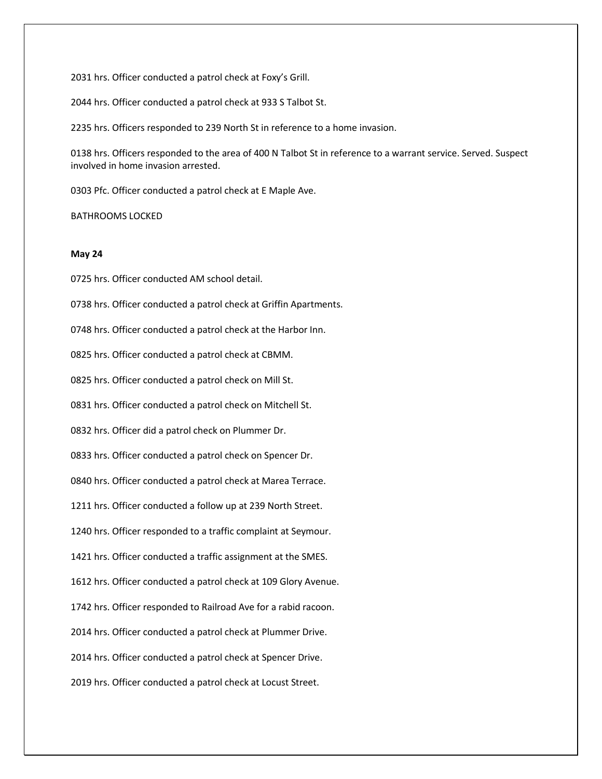2031 hrs. Officer conducted a patrol check at Foxy's Grill.

2044 hrs. Officer conducted a patrol check at 933 S Talbot St.

2235 hrs. Officers responded to 239 North St in reference to a home invasion.

0138 hrs. Officers responded to the area of 400 N Talbot St in reference to a warrant service. Served. Suspect involved in home invasion arrested.

0303 Pfc. Officer conducted a patrol check at E Maple Ave.

BATHROOMS LOCKED

## **May 24**

0725 hrs. Officer conducted AM school detail.

0738 hrs. Officer conducted a patrol check at Griffin Apartments.

0748 hrs. Officer conducted a patrol check at the Harbor Inn.

0825 hrs. Officer conducted a patrol check at CBMM.

0825 hrs. Officer conducted a patrol check on Mill St.

0831 hrs. Officer conducted a patrol check on Mitchell St.

0832 hrs. Officer did a patrol check on Plummer Dr.

0833 hrs. Officer conducted a patrol check on Spencer Dr.

0840 hrs. Officer conducted a patrol check at Marea Terrace.

1211 hrs. Officer conducted a follow up at 239 North Street.

1240 hrs. Officer responded to a traffic complaint at Seymour.

1421 hrs. Officer conducted a traffic assignment at the SMES.

1612 hrs. Officer conducted a patrol check at 109 Glory Avenue.

1742 hrs. Officer responded to Railroad Ave for a rabid racoon.

2014 hrs. Officer conducted a patrol check at Plummer Drive.

2014 hrs. Officer conducted a patrol check at Spencer Drive.

2019 hrs. Officer conducted a patrol check at Locust Street.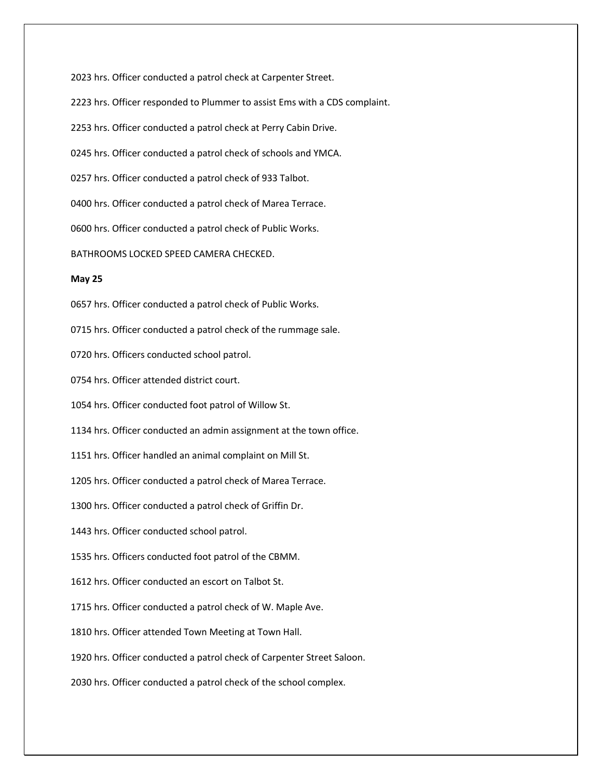2023 hrs. Officer conducted a patrol check at Carpenter Street.

2223 hrs. Officer responded to Plummer to assist Ems with a CDS complaint.

2253 hrs. Officer conducted a patrol check at Perry Cabin Drive.

0245 hrs. Officer conducted a patrol check of schools and YMCA.

0257 hrs. Officer conducted a patrol check of 933 Talbot.

0400 hrs. Officer conducted a patrol check of Marea Terrace.

0600 hrs. Officer conducted a patrol check of Public Works.

BATHROOMS LOCKED SPEED CAMERA CHECKED.

### **May 25**

0657 hrs. Officer conducted a patrol check of Public Works.

0715 hrs. Officer conducted a patrol check of the rummage sale.

0720 hrs. Officers conducted school patrol.

0754 hrs. Officer attended district court.

1054 hrs. Officer conducted foot patrol of Willow St.

1134 hrs. Officer conducted an admin assignment at the town office.

1151 hrs. Officer handled an animal complaint on Mill St.

1205 hrs. Officer conducted a patrol check of Marea Terrace.

1300 hrs. Officer conducted a patrol check of Griffin Dr.

1443 hrs. Officer conducted school patrol.

1535 hrs. Officers conducted foot patrol of the CBMM.

1612 hrs. Officer conducted an escort on Talbot St.

1715 hrs. Officer conducted a patrol check of W. Maple Ave.

1810 hrs. Officer attended Town Meeting at Town Hall.

1920 hrs. Officer conducted a patrol check of Carpenter Street Saloon.

2030 hrs. Officer conducted a patrol check of the school complex.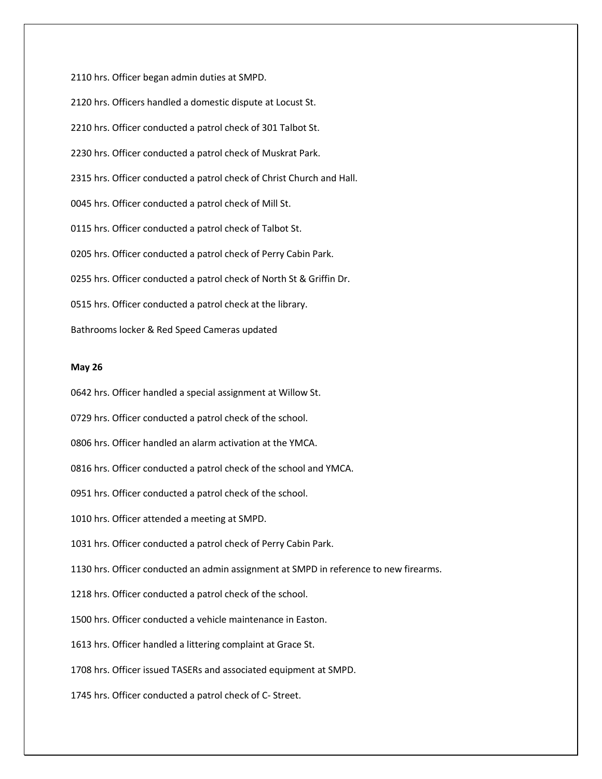2110 hrs. Officer began admin duties at SMPD. 2120 hrs. Officers handled a domestic dispute at Locust St. 2210 hrs. Officer conducted a patrol check of 301 Talbot St. 2230 hrs. Officer conducted a patrol check of Muskrat Park. 2315 hrs. Officer conducted a patrol check of Christ Church and Hall. 0045 hrs. Officer conducted a patrol check of Mill St. 0115 hrs. Officer conducted a patrol check of Talbot St. 0205 hrs. Officer conducted a patrol check of Perry Cabin Park. 0255 hrs. Officer conducted a patrol check of North St & Griffin Dr. 0515 hrs. Officer conducted a patrol check at the library. Bathrooms locker & Red Speed Cameras updated

# **May 26**

0642 hrs. Officer handled a special assignment at Willow St.

0729 hrs. Officer conducted a patrol check of the school.

0806 hrs. Officer handled an alarm activation at the YMCA.

0816 hrs. Officer conducted a patrol check of the school and YMCA.

0951 hrs. Officer conducted a patrol check of the school.

1010 hrs. Officer attended a meeting at SMPD.

1031 hrs. Officer conducted a patrol check of Perry Cabin Park.

1130 hrs. Officer conducted an admin assignment at SMPD in reference to new firearms.

1218 hrs. Officer conducted a patrol check of the school.

1500 hrs. Officer conducted a vehicle maintenance in Easton.

1613 hrs. Officer handled a littering complaint at Grace St.

1708 hrs. Officer issued TASERs and associated equipment at SMPD.

1745 hrs. Officer conducted a patrol check of C- Street.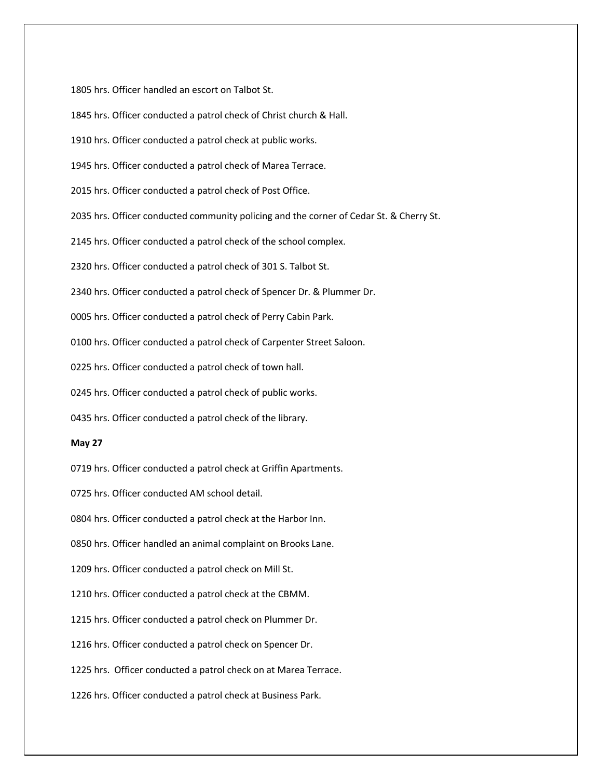1805 hrs. Officer handled an escort on Talbot St.

1845 hrs. Officer conducted a patrol check of Christ church & Hall.

1910 hrs. Officer conducted a patrol check at public works.

1945 hrs. Officer conducted a patrol check of Marea Terrace.

2015 hrs. Officer conducted a patrol check of Post Office.

2035 hrs. Officer conducted community policing and the corner of Cedar St. & Cherry St.

2145 hrs. Officer conducted a patrol check of the school complex.

2320 hrs. Officer conducted a patrol check of 301 S. Talbot St.

2340 hrs. Officer conducted a patrol check of Spencer Dr. & Plummer Dr.

0005 hrs. Officer conducted a patrol check of Perry Cabin Park.

0100 hrs. Officer conducted a patrol check of Carpenter Street Saloon.

0225 hrs. Officer conducted a patrol check of town hall.

0245 hrs. Officer conducted a patrol check of public works.

0435 hrs. Officer conducted a patrol check of the library.

## **May 27**

0719 hrs. Officer conducted a patrol check at Griffin Apartments.

0725 hrs. Officer conducted AM school detail.

0804 hrs. Officer conducted a patrol check at the Harbor Inn.

0850 hrs. Officer handled an animal complaint on Brooks Lane.

1209 hrs. Officer conducted a patrol check on Mill St.

1210 hrs. Officer conducted a patrol check at the CBMM.

1215 hrs. Officer conducted a patrol check on Plummer Dr.

1216 hrs. Officer conducted a patrol check on Spencer Dr.

1225 hrs. Officer conducted a patrol check on at Marea Terrace.

1226 hrs. Officer conducted a patrol check at Business Park.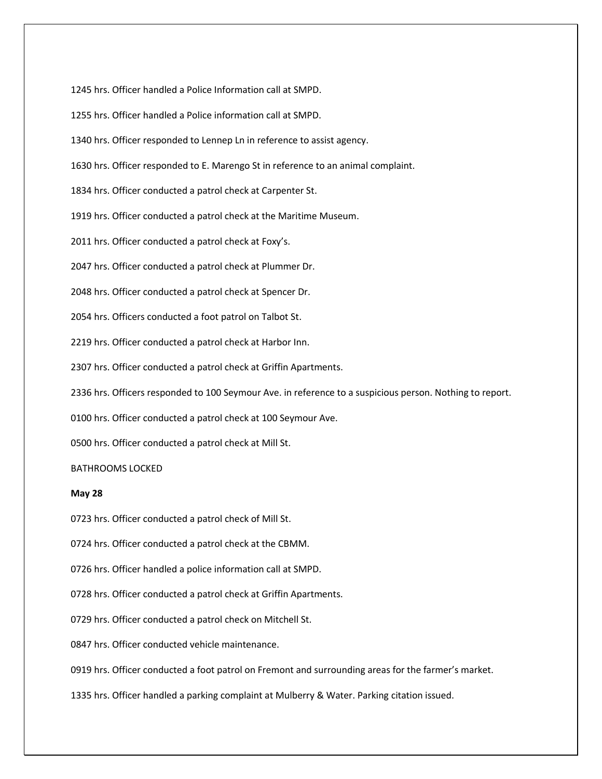1245 hrs. Officer handled a Police Information call at SMPD.

1255 hrs. Officer handled a Police information call at SMPD.

1340 hrs. Officer responded to Lennep Ln in reference to assist agency.

1630 hrs. Officer responded to E. Marengo St in reference to an animal complaint.

1834 hrs. Officer conducted a patrol check at Carpenter St.

1919 hrs. Officer conducted a patrol check at the Maritime Museum.

2011 hrs. Officer conducted a patrol check at Foxy's.

2047 hrs. Officer conducted a patrol check at Plummer Dr.

2048 hrs. Officer conducted a patrol check at Spencer Dr.

2054 hrs. Officers conducted a foot patrol on Talbot St.

2219 hrs. Officer conducted a patrol check at Harbor Inn.

2307 hrs. Officer conducted a patrol check at Griffin Apartments.

2336 hrs. Officers responded to 100 Seymour Ave. in reference to a suspicious person. Nothing to report.

0100 hrs. Officer conducted a patrol check at 100 Seymour Ave.

0500 hrs. Officer conducted a patrol check at Mill St.

# BATHROOMS LOCKED

## **May 28**

0723 hrs. Officer conducted a patrol check of Mill St.

0724 hrs. Officer conducted a patrol check at the CBMM.

0726 hrs. Officer handled a police information call at SMPD.

0728 hrs. Officer conducted a patrol check at Griffin Apartments.

0729 hrs. Officer conducted a patrol check on Mitchell St.

0847 hrs. Officer conducted vehicle maintenance.

0919 hrs. Officer conducted a foot patrol on Fremont and surrounding areas for the farmer's market.

1335 hrs. Officer handled a parking complaint at Mulberry & Water. Parking citation issued.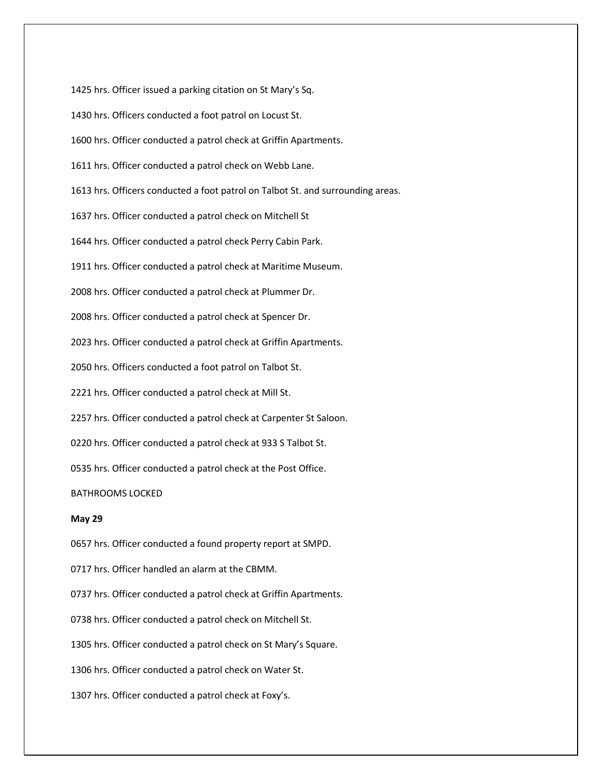1425 hrs. Officer issued a parking citation on St Mary's Sq.

1430 hrs. Officers conducted a foot patrol on Locust St.

1600 hrs. Officer conducted a patrol check at Griffin Apartments.

1611 hrs. Officer conducted a patrol check on Webb Lane.

1613 hrs. Officers conducted a foot patrol on Talbot St. and surrounding areas.

1637 hrs. Officer conducted a patrol check on Mitchell St

1644 hrs. Officer conducted a patrol check Perry Cabin Park.

1911 hrs. Officer conducted a patrol check at Maritime Museum.

2008 hrs. Officer conducted a patrol check at Plummer Dr.

2008 hrs. Officer conducted a patrol check at Spencer Dr.

2023 hrs. Officer conducted a patrol check at Griffin Apartments.

2050 hrs. Officers conducted a foot patrol on Talbot St.

2221 hrs. Officer conducted a patrol check at Mill St.

2257 hrs. Officer conducted a patrol check at Carpenter St Saloon.

0220 hrs. Officer conducted a patrol check at 933 S Talbot St.

0535 hrs. Officer conducted a patrol check at the Post Office.

BATHROOMS LOCKED

## **May 29**

0657 hrs. Officer conducted a found property report at SMPD.

0717 hrs. Officer handled an alarm at the CBMM.

0737 hrs. Officer conducted a patrol check at Griffin Apartments.

0738 hrs. Officer conducted a patrol check on Mitchell St.

1305 hrs. Officer conducted a patrol check on St Mary's Square.

1306 hrs. Officer conducted a patrol check on Water St.

1307 hrs. Officer conducted a patrol check at Foxy's.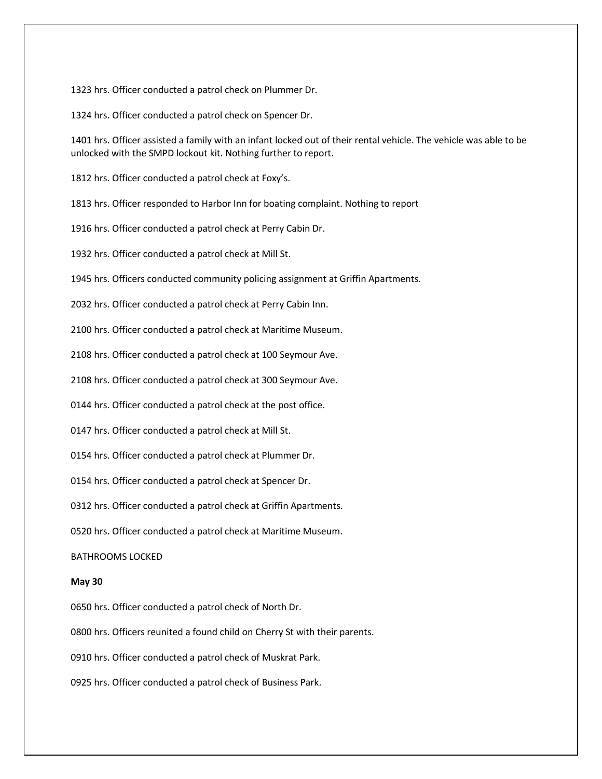1323 hrs. Officer conducted a patrol check on Plummer Dr.

1324 hrs. Officer conducted a patrol check on Spencer Dr.

1401 hrs. Officer assisted a family with an infant locked out of their rental vehicle. The vehicle was able to be unlocked with the SMPD lockout kit. Nothing further to report.

1812 hrs. Officer conducted a patrol check at Foxy's.

1813 hrs. Officer responded to Harbor Inn for boating complaint. Nothing to report

1916 hrs. Officer conducted a patrol check at Perry Cabin Dr.

1932 hrs. Officer conducted a patrol check at Mill St.

1945 hrs. Officers conducted community policing assignment at Griffin Apartments.

2032 hrs. Officer conducted a patrol check at Perry Cabin Inn.

2100 hrs. Officer conducted a patrol check at Maritime Museum.

2108 hrs. Officer conducted a patrol check at 100 Seymour Ave.

2108 hrs. Officer conducted a patrol check at 300 Seymour Ave.

0144 hrs. Officer conducted a patrol check at the post office.

0147 hrs. Officer conducted a patrol check at Mill St.

0154 hrs. Officer conducted a patrol check at Plummer Dr.

0154 hrs. Officer conducted a patrol check at Spencer Dr.

0312 hrs. Officer conducted a patrol check at Griffin Apartments.

0520 hrs. Officer conducted a patrol check at Maritime Museum.

BATHROOMS LOCKED

## **May 30**

0650 hrs. Officer conducted a patrol check of North Dr.

0800 hrs. Officers reunited a found child on Cherry St with their parents.

0910 hrs. Officer conducted a patrol check of Muskrat Park.

0925 hrs. Officer conducted a patrol check of Business Park.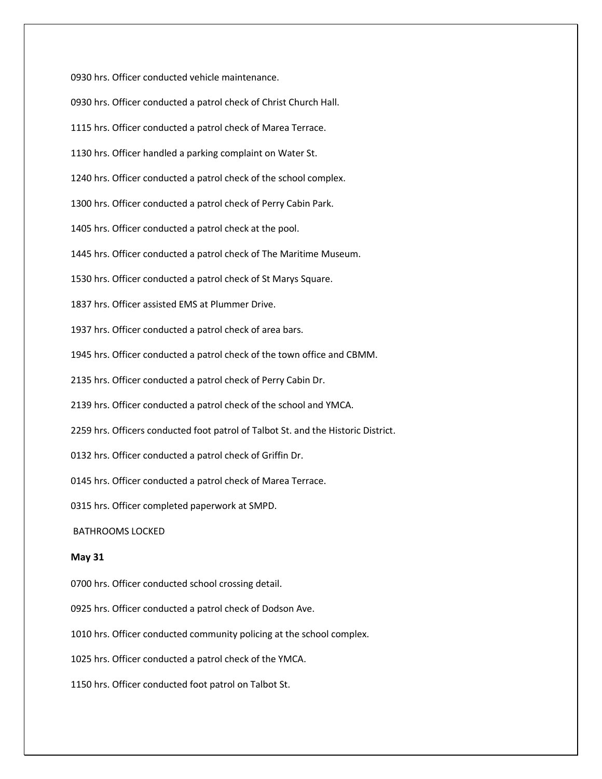0930 hrs. Officer conducted vehicle maintenance. 0930 hrs. Officer conducted a patrol check of Christ Church Hall. 1115 hrs. Officer conducted a patrol check of Marea Terrace. 1130 hrs. Officer handled a parking complaint on Water St. 1240 hrs. Officer conducted a patrol check of the school complex. 1300 hrs. Officer conducted a patrol check of Perry Cabin Park. 1405 hrs. Officer conducted a patrol check at the pool. 1445 hrs. Officer conducted a patrol check of The Maritime Museum. 1530 hrs. Officer conducted a patrol check of St Marys Square. 1837 hrs. Officer assisted EMS at Plummer Drive. 1937 hrs. Officer conducted a patrol check of area bars. 1945 hrs. Officer conducted a patrol check of the town office and CBMM. 2135 hrs. Officer conducted a patrol check of Perry Cabin Dr. 2139 hrs. Officer conducted a patrol check of the school and YMCA. 2259 hrs. Officers conducted foot patrol of Talbot St. and the Historic District. 0132 hrs. Officer conducted a patrol check of Griffin Dr. 0145 hrs. Officer conducted a patrol check of Marea Terrace. 0315 hrs. Officer completed paperwork at SMPD. BATHROOMS LOCKED **May 31** 0700 hrs. Officer conducted school crossing detail. 0925 hrs. Officer conducted a patrol check of Dodson Ave. 1010 hrs. Officer conducted community policing at the school complex.

1025 hrs. Officer conducted a patrol check of the YMCA.

1150 hrs. Officer conducted foot patrol on Talbot St.